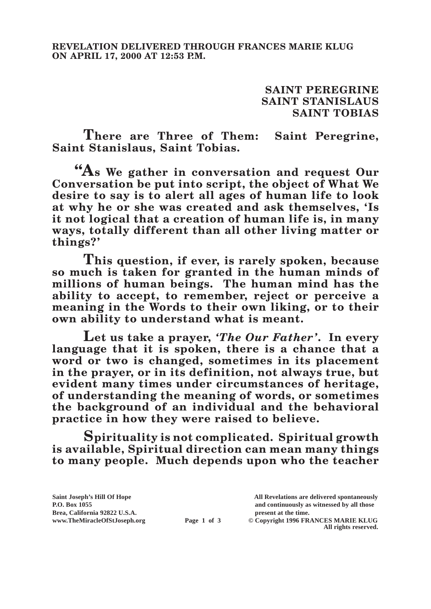**SAINT PEREGRINE SAINT STANISLAUS SAINT TOBIAS**

**There are Three of Them: Saint Peregrine, Saint Stanislaus, Saint Tobias.**

**"As We gather in conversation and request Our Conversation be put into script, the object of What We desire to say is to alert all ages of human life to look at why he or she was created and ask themselves, 'Is it not logical that a creation of human life is, in many ways, totally different than all other living matter or things?'**

**This question, if ever, is rarely spoken, because so much is taken for granted in the human minds of millions of human beings. The human mind has the ability to accept, to remember, reject or perceive a meaning in the Words to their own liking, or to their own ability to understand what is meant.**

**Let us take a prayer,** *'The Our Father'***. In every language that it is spoken, there is a chance that a word or two is changed, sometimes in its placement in the prayer, or in its definition, not always true, but evident many times under circumstances of heritage, of understanding the meaning of words, or sometimes the background of an individual and the behavioral practice in how they were raised to believe.**

**Spirituality is not complicated. Spiritual growth is available, Spiritual direction can mean many things to many people. Much depends upon who the teacher** 

**Brea, California 92822 U.S.A. present at the time.**<br> **present at the time.**<br> **present at the time.**<br> **present at the time.**<br> **Page 1 of 3** © Copyright 1996 FR.

**Saint Joseph's Hill Of Hope All Revelations are delivered spontaneously P.O. Box 1055 and continuously as witnessed by all those Page 1 of 3** © Copyright 1996 FRANCES MARIE KLUG

**All rights reserved.**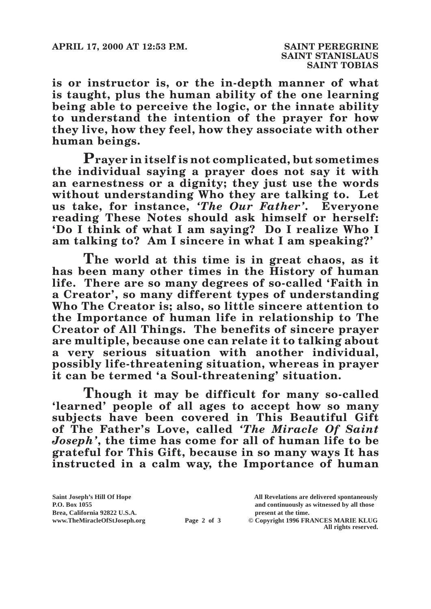**is or instructor is, or the in-depth manner of what is taught, plus the human ability of the one learning being able to perceive the logic, or the innate ability to understand the intention of the prayer for how they live, how they feel, how they associate with other human beings.**

**Prayer in itself is not complicated, but sometimes the individual saying a prayer does not say it with an earnestness or a dignity; they just use the words without understanding Who they are talking to. Let us take, for instance,** *'The Our Father'***. Everyone reading These Notes should ask himself or herself: 'Do I think of what I am saying? Do I realize Who I am talking to? Am I sincere in what I am speaking?'**

**The world at this time is in great chaos, as it has been many other times in the History of human life. There are so many degrees of so-called 'Faith in a Creator', so many different types of understanding Who The Creator is; also, so little sincere attention to the Importance of human life in relationship to The Creator of All Things. The benefits of sincere prayer are multiple, because one can relate it to talking about a very serious situation with another individual, possibly life-threatening situation, whereas in prayer it can be termed 'a Soul-threatening' situation.**

**Though it may be difficult for many so-called 'learned' people of all ages to accept how so many subjects have been covered in This Beautiful Gift of The Father's Love, called** *'The Miracle Of Saint Joseph'***, the time has come for all of human life to be grateful for This Gift, because in so many ways It has instructed in a calm way, the Importance of human** 

**Saint Joseph's Hill Of Hope All Revelations are delivered spontaneously P.O. Box 1055 and continuously as witnessed by all those Brea, California 92822 U.S.A. present at the time.**<br> **Page 2 of 3** © Copyright 1996 FR.

**Page 2 of 3** © Copyright 1996 FRANCES MARIE KLUG

**All rights reserved.**